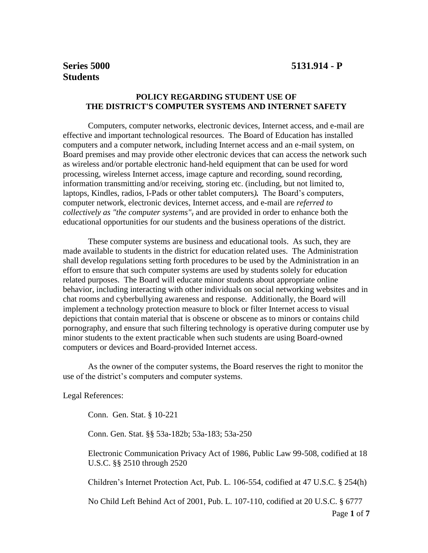# **Students**

## **POLICY REGARDING STUDENT USE OF THE DISTRICT'S COMPUTER SYSTEMS AND INTERNET SAFETY**

Computers, computer networks, electronic devices, Internet access, and e-mail are effective and important technological resources. The Board of Education has installed computers and a computer network, including Internet access and an e-mail system, on Board premises and may provide other electronic devices that can access the network such as wireless and/or portable electronic hand-held equipment that can be used for word processing, wireless Internet access, image capture and recording, sound recording, information transmitting and/or receiving, storing etc. (including, but not limited to, laptops, Kindles, radios, I-Pads or other tablet computers*).* The Board's computers, computer network, electronic devices, Internet access, and e-mail are *referred to collectively as "the computer systems",* and are provided in order to enhance both the educational opportunities for our students and the business operations of the district.

These computer systems are business and educational tools. As such, they are made available to students in the district for education related uses. The Administration shall develop regulations setting forth procedures to be used by the Administration in an effort to ensure that such computer systems are used by students solely for education related purposes. The Board will educate minor students about appropriate online behavior, including interacting with other individuals on social networking websites and in chat rooms and cyberbullying awareness and response. Additionally, the Board will implement a technology protection measure to block or filter Internet access to visual depictions that contain material that is obscene or obscene as to minors or contains child pornography, and ensure that such filtering technology is operative during computer use by minor students to the extent practicable when such students are using Board-owned computers or devices and Board-provided Internet access.

As the owner of the computer systems, the Board reserves the right to monitor the use of the district's computers and computer systems.

Legal References:

Conn. Gen. Stat. § 10-221

Conn. Gen. Stat. §§ 53a-182b; 53a-183; 53a-250

Electronic Communication Privacy Act of 1986, Public Law 99-508, codified at 18 U.S.C. §§ 2510 through 2520

Children's Internet Protection Act, Pub. L. 106-554, codified at 47 U.S.C. § 254(h)

No Child Left Behind Act of 2001, Pub. L. 107-110, codified at 20 U.S.C. § 6777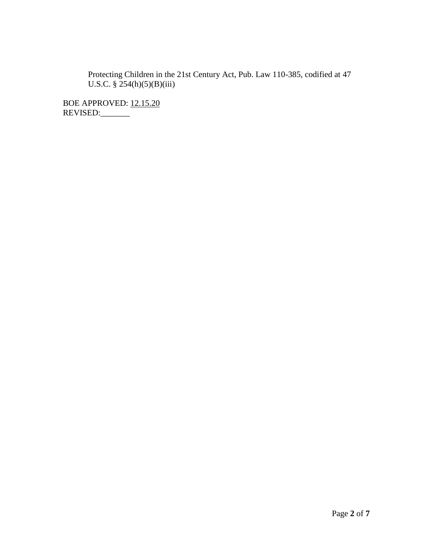Protecting Children in the 21st Century Act, Pub. Law 110-385, codified at 47 U.S.C.  $\S$  254(h)(5)(B)(iii)

BOE APPROVED: 12.15.20 REVISED:\_\_\_\_\_\_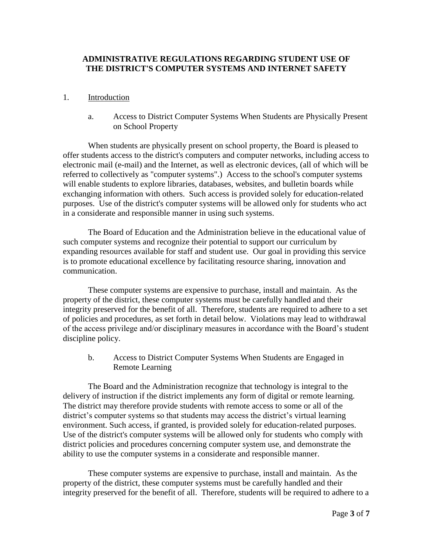### **ADMINISTRATIVE REGULATIONS REGARDING STUDENT USE OF THE DISTRICT'S COMPUTER SYSTEMS AND INTERNET SAFETY**

#### 1. Introduction

a. Access to District Computer Systems When Students are Physically Present on School Property

When students are physically present on school property, the Board is pleased to offer students access to the district's computers and computer networks, including access to electronic mail (e-mail) and the Internet, as well as electronic devices, (all of which will be referred to collectively as "computer systems".) Access to the school's computer systems will enable students to explore libraries, databases, websites, and bulletin boards while exchanging information with others. Such access is provided solely for education-related purposes. Use of the district's computer systems will be allowed only for students who act in a considerate and responsible manner in using such systems.

The Board of Education and the Administration believe in the educational value of such computer systems and recognize their potential to support our curriculum by expanding resources available for staff and student use. Our goal in providing this service is to promote educational excellence by facilitating resource sharing, innovation and communication.

These computer systems are expensive to purchase, install and maintain. As the property of the district, these computer systems must be carefully handled and their integrity preserved for the benefit of all. Therefore, students are required to adhere to a set of policies and procedures, as set forth in detail below. Violations may lead to withdrawal of the access privilege and/or disciplinary measures in accordance with the Board's student discipline policy.

b. Access to District Computer Systems When Students are Engaged in Remote Learning

The Board and the Administration recognize that technology is integral to the delivery of instruction if the district implements any form of digital or remote learning. The district may therefore provide students with remote access to some or all of the district's computer systems so that students may access the district's virtual learning environment. Such access, if granted, is provided solely for education-related purposes. Use of the district's computer systems will be allowed only for students who comply with district policies and procedures concerning computer system use, and demonstrate the ability to use the computer systems in a considerate and responsible manner.

These computer systems are expensive to purchase, install and maintain. As the property of the district, these computer systems must be carefully handled and their integrity preserved for the benefit of all. Therefore, students will be required to adhere to a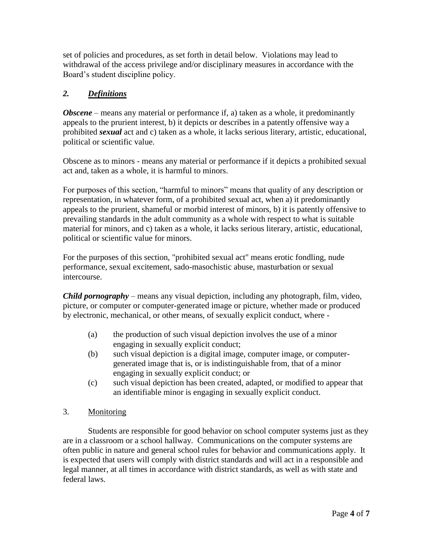set of policies and procedures, as set forth in detail below. Violations may lead to withdrawal of the access privilege and/or disciplinary measures in accordance with the Board's student discipline policy.

# *2. Definitions*

*Obscene* – means any material or performance if, a) taken as a whole, it predominantly appeals to the prurient interest, b) it depicts or describes in a patently offensive way a prohibited *sexual* act and c) taken as a whole, it lacks serious literary, artistic, educational, political or scientific value.

Obscene as to minors - means any material or performance if it depicts a prohibited sexual act and, taken as a whole, it is harmful to minors.

For purposes of this section, "harmful to minors" means that quality of any description or representation, in whatever form, of a prohibited sexual act, when a) it predominantly appeals to the prurient, shameful or morbid interest of minors, b) it is patently offensive to prevailing standards in the adult community as a whole with respect to what is suitable material for minors, and c) taken as a whole, it lacks serious literary, artistic, educational, political or scientific value for minors.

For the purposes of this section, "prohibited sexual act" means erotic fondling, nude performance, sexual excitement, sado-masochistic abuse, masturbation or sexual intercourse.

*Child pornography* – means any visual depiction, including any photograph, film, video, picture, or computer or computer-generated image or picture, whether made or produced by electronic, mechanical, or other means, of sexually explicit conduct, where -

- (a) the production of such visual depiction involves the use of a minor engaging in sexually explicit conduct;
- (b) such visual depiction is a digital image, computer image, or computergenerated image that is, or is indistinguishable from, that of a minor engaging in sexually explicit conduct; or
- (c) such visual depiction has been created, adapted, or modified to appear that an identifiable minor is engaging in sexually explicit conduct.

# 3. Monitoring

Students are responsible for good behavior on school computer systems just as they are in a classroom or a school hallway. Communications on the computer systems are often public in nature and general school rules for behavior and communications apply. It is expected that users will comply with district standards and will act in a responsible and legal manner, at all times in accordance with district standards, as well as with state and federal laws.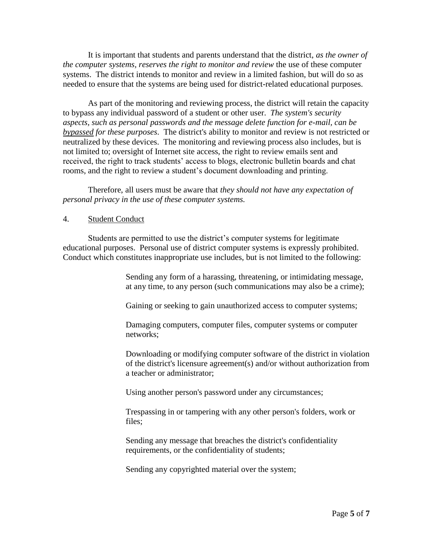It is important that students and parents understand that the district, *as the owner of the computer systems, reserves the right to monitor and review* the use of these computer systems. The district intends to monitor and review in a limited fashion, but will do so as needed to ensure that the systems are being used for district-related educational purposes.

As part of the monitoring and reviewing process, the district will retain the capacity to bypass any individual password of a student or other user. *The system's security aspects, such as personal passwords and the message delete function for e-mail, can be bypassed for these purposes*. The district's ability to monitor and review is not restricted or neutralized by these devices. The monitoring and reviewing process also includes, but is not limited to; oversight of Internet site access, the right to review emails sent and received, the right to track students' access to blogs, electronic bulletin boards and chat rooms, and the right to review a student's document downloading and printing.

Therefore, all users must be aware that *they should not have any expectation of personal privacy in the use of these computer systems.*

#### 4. Student Conduct

Students are permitted to use the district's computer systems for legitimate educational purposes. Personal use of district computer systems is expressly prohibited. Conduct which constitutes inappropriate use includes, but is not limited to the following:

> Sending any form of a harassing, threatening, or intimidating message, at any time, to any person (such communications may also be a crime);

Gaining or seeking to gain unauthorized access to computer systems;

Damaging computers, computer files, computer systems or computer networks;

Downloading or modifying computer software of the district in violation of the district's licensure agreement(s) and/or without authorization from a teacher or administrator;

Using another person's password under any circumstances;

Trespassing in or tampering with any other person's folders, work or files;

Sending any message that breaches the district's confidentiality requirements, or the confidentiality of students;

Sending any copyrighted material over the system;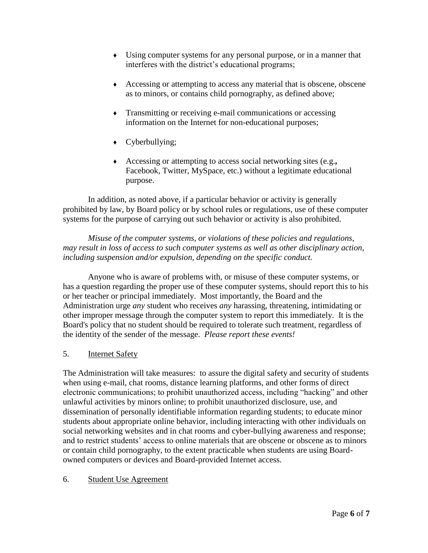- ♦ Using computer systems for any personal purpose, or in a manner that interferes with the district's educational programs;
- ♦ Accessing or attempting to access any material that is obscene, obscene as to minors, or contains child pornography, as defined above;
- ♦ Transmitting or receiving e-mail communications or accessing information on the Internet for non-educational purposes;
- $\leftarrow$  Cyberbullying;
- ♦ Accessing or attempting to access social networking sites (e.g.*,*  Facebook, Twitter, MySpace, etc.) without a legitimate educational purpose.

In addition, as noted above, if a particular behavior or activity is generally prohibited by law, by Board policy or by school rules or regulations, use of these computer systems for the purpose of carrying out such behavior or activity is also prohibited.

*Misuse of the computer systems, or violations of these policies and regulations, may result in loss of access to such computer systems as well as other disciplinary action, including suspension and/or expulsion, depending on the specific conduct.* 

Anyone who is aware of problems with, or misuse of these computer systems, or has a question regarding the proper use of these computer systems, should report this to his or her teacher or principal immediately. Most importantly, the Board and the Administration urge *any* student who receives *any* harassing, threatening, intimidating or other improper message through the computer system to report this immediately. It is the Board's policy that no student should be required to tolerate such treatment, regardless of the identity of the sender of the message. *Please report these events!*

# 5. Internet Safety

The Administration will take measures: to assure the digital safety and security of students when using e-mail, chat rooms, distance learning platforms, and other forms of direct electronic communications; to prohibit unauthorized access, including "hacking" and other unlawful activities by minors online; to prohibit unauthorized disclosure, use, and dissemination of personally identifiable information regarding students; to educate minor students about appropriate online behavior, including interacting with other individuals on social networking websites and in chat rooms and cyber-bullying awareness and response; and to restrict students' access to online materials that are obscene or obscene as to minors or contain child pornography, to the extent practicable when students are using Boardowned computers or devices and Board-provided Internet access.

# 6. Student Use Agreement